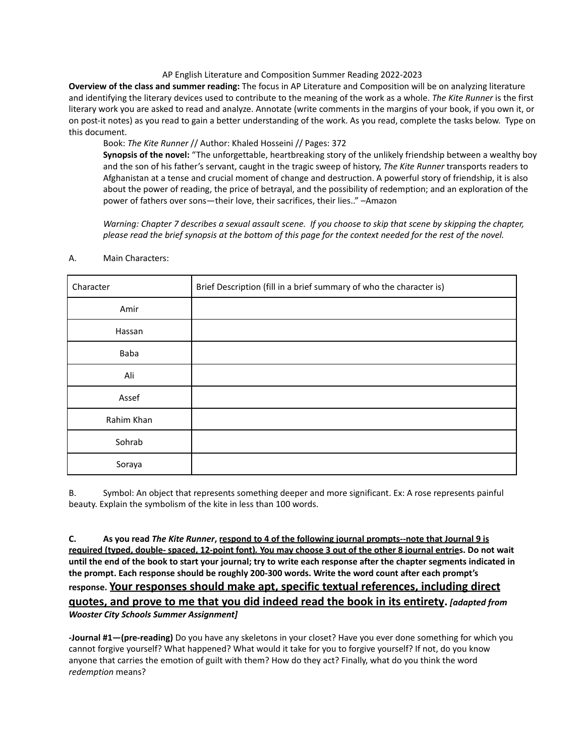## AP English Literature and Composition Summer Reading 2022-2023

**Overview of the class and summer reading:** The focus in AP Literature and Composition will be on analyzing literature and identifying the literary devices used to contribute to the meaning of the work as a whole. *The Kite Runner* is the first literary work you are asked to read and analyze. Annotate (write comments in the margins of your book, if you own it, or on post-it notes) as you read to gain a better understanding of the work. As you read, complete the tasks below. Type on this document.

Book: *The Kite Runner* // Author: Khaled Hosseini // Pages: 372

**Synopsis of the novel:** "The unforgettable, heartbreaking story of the unlikely friendship between a wealthy boy and the son of his father's servant, caught in the tragic sweep of history, *The Kite Runner* transports readers to Afghanistan at a tense and crucial moment of change and destruction. A powerful story of friendship, it is also about the power of reading, the price of betrayal, and the possibility of redemption; and an exploration of the power of fathers over sons—their love, their sacrifices, their lies.." –Amazon

Warning: Chapter 7 describes a sexual assault scene. If you choose to skip that scene by skipping the chapter, please read the brief synopsis at the bottom of this page for the context needed for the rest of the novel.

| Character  | Brief Description (fill in a brief summary of who the character is) |
|------------|---------------------------------------------------------------------|
| Amir       |                                                                     |
| Hassan     |                                                                     |
| Baba       |                                                                     |
| Ali        |                                                                     |
| Assef      |                                                                     |
| Rahim Khan |                                                                     |
| Sohrab     |                                                                     |
| Soraya     |                                                                     |

## A. Main Characters:

B. Symbol: An object that represents something deeper and more significant. Ex: A rose represents painful beauty. Explain the symbolism of the kite in less than 100 words.

C. As you read The Kite Runner, respond to 4 of the following journal prompts--note that Journal 9 is required (typed, double- spaced, 12-point font). You may choose 3 out of the other 8 journal entries. Do not wait until the end of the book to start your journal; try to write each response after the chapter segments indicated in **the prompt. Each response should be roughly 200-300 words. Write the word count after each prompt's response. Your responses should make apt, specific textual references, including direct quotes, and prove to me that you did indeed read the book in its entirety.** *[adapted from Wooster City Schools Summer Assignment]*

**-Journal #1—(pre-reading)** Do you have any skeletons in your closet? Have you ever done something for which you cannot forgive yourself? What happened? What would it take for you to forgive yourself? If not, do you know anyone that carries the emotion of guilt with them? How do they act? Finally, what do you think the word *redemption* means?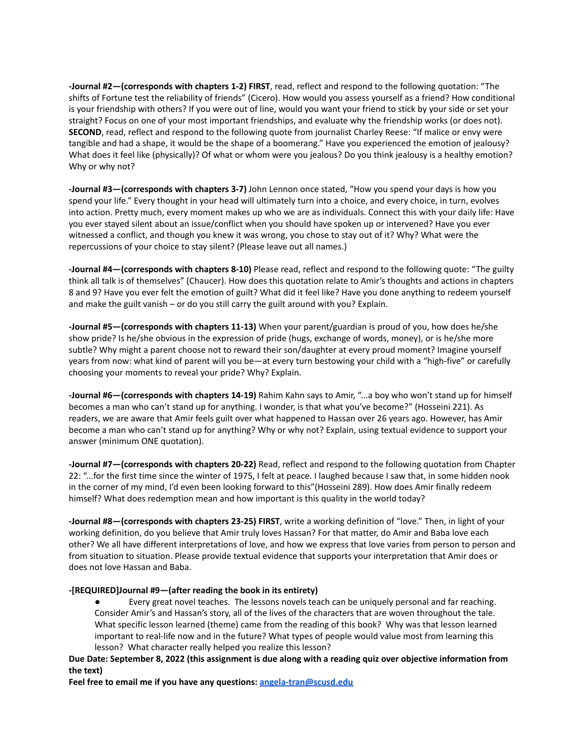**-Journal #2—(corresponds with chapters 1-2) FIRST**, read, reflect and respond to the following quotation: "The shifts of Fortune test the reliability of friends" (Cicero). How would you assess yourself as a friend? How conditional is your friendship with others? If you were out of line, would you want your friend to stick by your side or set your straight? Focus on one of your most important friendships, and evaluate why the friendship works (or does not). **SECOND**, read, reflect and respond to the following quote from journalist Charley Reese: "If malice or envy were tangible and had a shape, it would be the shape of a boomerang." Have you experienced the emotion of jealousy? What does it feel like (physically)? Of what or whom were you jealous? Do you think jealousy is a healthy emotion? Why or why not?

**-Journal #3—(corresponds with chapters 3-7)** John Lennon once stated, "How you spend your days is how you spend your life." Every thought in your head will ultimately turn into a choice, and every choice, in turn, evolves into action. Pretty much, every moment makes up who we are as individuals. Connect this with your daily life: Have you ever stayed silent about an issue/conflict when you should have spoken up or intervened? Have you ever witnessed a conflict, and though you knew it was wrong, you chose to stay out of it? Why? What were the repercussions of your choice to stay silent? (Please leave out all names.)

**-Journal #4—(corresponds with chapters 8-10)** Please read, reflect and respond to the following quote: "The guilty think all talk is of themselves" (Chaucer). How does this quotation relate to Amir's thoughts and actions in chapters 8 and 9? Have you ever felt the emotion of guilt? What did it feel like? Have you done anything to redeem yourself and make the guilt vanish – or do you still carry the guilt around with you? Explain.

**-Journal #5—(corresponds with chapters 11-13)** When your parent/guardian is proud of you, how does he/she show pride? Is he/she obvious in the expression of pride (hugs, exchange of words, money), or is he/she more subtle? Why might a parent choose not to reward their son/daughter at every proud moment? Imagine yourself years from now: what kind of parent will you be—at every turn bestowing your child with a "high-five" or carefully choosing your moments to reveal your pride? Why? Explain.

**-Journal #6—(corresponds with chapters 14-19)** Rahim Kahn says to Amir, "...a boy who won't stand up for himself becomes a man who can't stand up for anything. I wonder, is that what you've become?" (Hosseini 221). As readers, we are aware that Amir feels guilt over what happened to Hassan over 26 years ago. However, has Amir become a man who can't stand up for anything? Why or why not? Explain, using textual evidence to support your answer (minimum ONE quotation).

**-Journal #7—(corresponds with chapters 20-22)** Read, reflect and respond to the following quotation from Chapter 22: "...for the first time since the winter of 1975, I felt at peace. I laughed because I saw that, in some hidden nook in the corner of my mind, I'd even been looking forward to this"(Hosseini 289). How does Amir finally redeem himself? What does redemption mean and how important is this quality in the world today?

**-Journal #8—(corresponds with chapters 23-25) FIRST**, write a working definition of "love." Then, in light of your working definition, do you believe that Amir truly loves Hassan? For that matter, do Amir and Baba love each other? We all have different interpretations of love, and how we express that love varies from person to person and from situation to situation. Please provide textual evidence that supports your interpretation that Amir does or does not love Hassan and Baba.

## **-[REQUIRED]Journal #9—(after reading the book in its entirety)**

Every great novel teaches. The lessons novels teach can be uniquely personal and far reaching. Consider Amir's and Hassan's story, all of the lives of the characters that are woven throughout the tale. What specific lesson learned (theme) came from the reading of this book? Why was that lesson learned important to real-life now and in the future? What types of people would value most from learning this lesson? What character really helped you realize this lesson?

Due Date: September 8, 2022 (this assignment is due along with a reading quiz over objective information from **the text)**

**Feel free to email me if you have any questions: [angela-tran@scusd.edu](mailto:angela-tran@scusd.edu)**